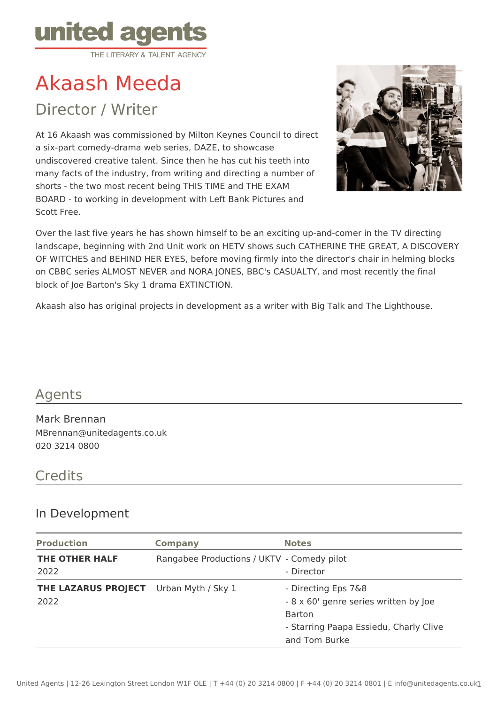

# Akaash Meeda

Director / Writer

At 16 Akaash was commissioned by Milton Keynes Council to direct a six-part comedy-drama web series, DAZE, to showcase undiscovered creative talent. Since then he has cut his teeth into many facts of the industry, from writing and directing a number of shorts - the two most recent being THIS TIME and THE EXAM BOARD - to working in development with Left Bank Pictures and Scott Free.



Over the last five years he has shown himself to be an exciting up-and-comer in the TV directing landscape, beginning with 2nd Unit work on HETV shows such CATHERINE THE GREAT, A DISCOVERY OF WITCHES and BEHIND HER EYES, before moving firmly into the director's chair in helming blocks on CBBC series ALMOST NEVER and NORA JONES, BBC's CASUALTY, and most recently the final block of Joe Barton's Sky 1 drama EXTINCTION.

Akaash also has original projects in development as a writer with Big Talk and The Lighthouse.

## Agents

Mark Brennan MBrennan@unitedagents.co.uk 020 3214 0800

## **Credits**

#### In Development

| <b>Production</b>           | <b>Company</b>                             | <b>Notes</b>                                                                                                                             |
|-----------------------------|--------------------------------------------|------------------------------------------------------------------------------------------------------------------------------------------|
| THE OTHER HALF<br>2022      | Rangabee Productions / UKTV - Comedy pilot | - Director                                                                                                                               |
| THE LAZARUS PROJECT<br>2022 | Urban Myth / Sky 1                         | - Directing Eps 7&8<br>- 8 x 60' genre series written by Joe<br><b>Barton</b><br>- Starring Paapa Essiedu, Charly Clive<br>and Tom Burke |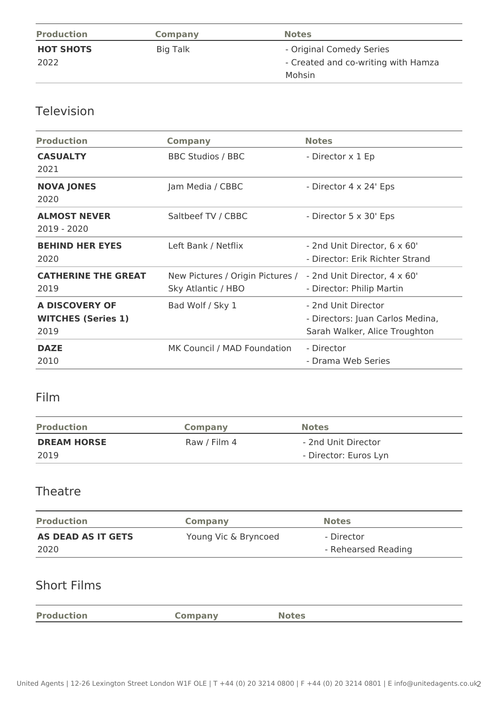| <b>Production</b> | Company  | <b>Notes</b>                        |
|-------------------|----------|-------------------------------------|
| <b>HOT SHOTS</b>  | Big Talk | - Original Comedy Series            |
| 2022              |          | - Created and co-writing with Hamza |
|                   |          | Mohsin                              |

# Television

| <b>Production</b>                                          | <b>Company</b>                                                                      | <b>Notes</b>                                                                             |
|------------------------------------------------------------|-------------------------------------------------------------------------------------|------------------------------------------------------------------------------------------|
| <b>CASUALTY</b><br>2021                                    | <b>BBC Studios / BBC</b>                                                            | - Director x 1 Ep                                                                        |
| <b>NOVA JONES</b><br>2020                                  | Jam Media / CBBC                                                                    | - Director 4 x 24' Eps                                                                   |
| <b>ALMOST NEVER</b><br>$2019 - 2020$                       | Saltbeef TV / CBBC                                                                  | - Director 5 x 30' Eps                                                                   |
| <b>BEHIND HER EYES</b><br>2020                             | Left Bank / Netflix                                                                 | - 2nd Unit Director, 6 x 60'<br>- Director: Erik Richter Strand                          |
| <b>CATHERINE THE GREAT</b><br>2019                         | New Pictures / Origin Pictures / - 2nd Unit Director, 4 x 60'<br>Sky Atlantic / HBO | - Director: Philip Martin                                                                |
| <b>A DISCOVERY OF</b><br><b>WITCHES (Series 1)</b><br>2019 | Bad Wolf / Sky 1                                                                    | - 2nd Unit Director<br>- Directors: Juan Carlos Medina,<br>Sarah Walker, Alice Troughton |
| <b>DAZE</b><br>2010                                        | MK Council / MAD Foundation                                                         | - Director<br>- Drama Web Series                                                         |
|                                                            |                                                                                     |                                                                                          |

# Film

| <b>Production</b>  | <b>Company</b> | <b>Notes</b>          |
|--------------------|----------------|-----------------------|
| <b>DREAM HORSE</b> | Raw / Film 4   | - 2nd Unit Director   |
| 2019               |                | - Director: Euros Lyn |

#### Theatre

| <b>Production</b>  | Company              | <b>Notes</b>        |
|--------------------|----------------------|---------------------|
| AS DEAD AS IT GETS | Young Vic & Bryncoed | - Director          |
| 2020               |                      | - Rehearsed Reading |

## Short Films

|--|